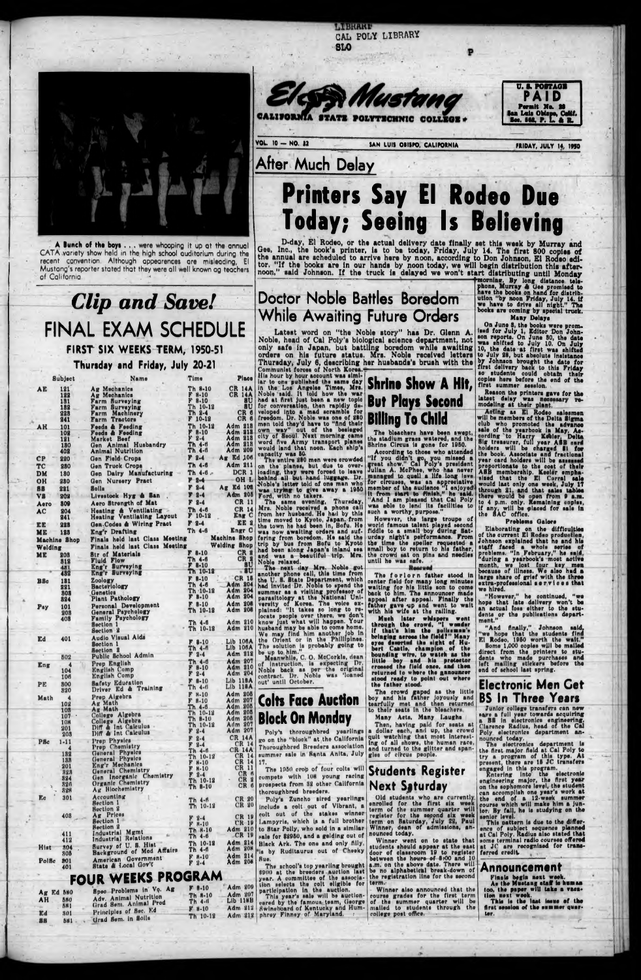**MERRIAL** CAL POLY LIBRARY **BLO** 





VOL. 10 - NO. 32 SAN LUIS OBISPO, CALIFORNIA

**FRIDAY, JULY 14, 1950** 

## After Much Delay

# Printers Say El Rodeo Due **Today; Seeing Is Believing**

D-day, El Rodeo, or the actual delivery date finally set this week by Murray and Gee, Inc., the book's printer, is to be today, Friday, July 14. The first 800 copies of the annual are scheduled to arrive here by noon, acco

art distributing until bionday<br>fracrise. By long distance tele-<br>phone, Murray & Gee promised to<br>have the books on hand for distribution "by noon Friday, July 14. if<br>we have to drive all night." The<br>books are coming by spec

Many Delays



CATA variety show held in the high school auditorium during the recent convention. Although appearences are misleading, El Mustang's reporter stated that they were all well known ag teachers of California.

## **Clip and Save!** FINAL EXAM SCHEDULE FIRST SIX WEEKS TERM, 1950-51

Thursday and Friday, July 20-21

|                         | <b>Subject</b>    | Name                                                             | Time                               | Piace                             | <i>iiis</i> hour by hour account was simi-<br>lar to one published the same day                                                                     | <b>Shrine Show A Hit,</b>                                                                                             | so students could obtain their<br>copies here before the end of the         |
|-------------------------|-------------------|------------------------------------------------------------------|------------------------------------|-----------------------------------|-----------------------------------------------------------------------------------------------------------------------------------------------------|-----------------------------------------------------------------------------------------------------------------------|-----------------------------------------------------------------------------|
| AE                      | 121               | Ag Mechanics                                                     | Th 8-10<br>$F = 10$                |                                   | CR 14A in the Los Angeles Times, Mrs.<br>CR 14A Noble said. It told how the war                                                                     |                                                                                                                       | first summer session.<br>Reason the printers gave for the                   |
|                         | 122<br>131        | Ag Mechanics<br>Farm Burveying                                   | $F 8-10$                           | 8U.                               | had at first just been a new topic                                                                                                                  | <b>But Plays Second</b>                                                                                               | latest delay was necessary re-<br>modeling at their plant,                  |
|                         | 182<br>223        | Farm Burveying<br>Farm Machinery                                 | Th 10-12<br>Th 2-4                 | CR.                               | ati for conversation, then rapidly d=-<br>veloped into a mad scramble for                                                                           |                                                                                                                       | Acting as El Rodeo salesmen                                                 |
|                         | 241               | <b>Farm Tractors</b>                                             | $F$ 10-12                          | CR <sub>6</sub><br><b>Adm 218</b> | freedom, Dr. Noble was one of 250<br>men told they'd have to "find their                                                                            | <b>Billing To Child</b>                                                                                               | will be members of the Delta Sigma<br>club who promoted the advance         |
| AH.                     | 101<br>102        | Feeds & Feeding<br><b>Feeds &amp; Feeding</b>                    | Th 10-12<br>F 8-10                 | Adm 213                           | own way" out of the besieged<br>city of Seoul. Next morning came                                                                                    | The bleachers have been swept,                                                                                        | sale of the yearbook in May. As-<br>cording to Harry Kobler, Delta          |
|                         | 121<br>180        | Market Beef<br>Gen Animal Husbandry                              | $F2-4$<br><b>Th 4-6</b>            | Adm 218<br><b>Adm 218</b>         | word five Army transport planes                                                                                                                     | the stadium grass watered, and the<br>Shrine Circus is gone for 1950.                                                 | Sig treasurer, full year ASB card                                           |
|                         | 408               | <b>Animal Nutrition</b>                                          | Th 4-6                             | <b>Adm 209</b>                    | would land that noon. Each ship's<br>capacity was 80.                                                                                               | According to those who attended                                                                                       | holders will be charged <b>SI</b> for<br>the book. Associate and fractional |
| CP<br><b>TC</b>         | <b>220</b><br>980 | Gen Field Crops<br>Gen Truck Crops                               | $F3-4$<br>Th 4-6                   | $Ar$ Ed 106<br>Adm 211            | The entire 280 men were crowded<br>on the planes, but due to over-                                                                                  | "If you didn't go, you missed a<br>great show." Cal Poly's president                                                  | year card holders will be assessed<br>proportionate to the cost of their    |
| DM                      | 180               | Gen Dairy Manufacturing                                          | Th $4-6$                           | DCR 1                             | loading, they were forced to leave                                                                                                                  | Julian A. McPhee, who has never<br>managed to quell a life long love                                                  | ASB membership. Keeler empha-                                               |
| <b>OH</b>               | <b>280</b>        | Gen Nursery Pract                                                | $P - 8 - 4$<br>$F = 2 - 4$         | Ag Ed 108                         | OH L behind all but hand luggage. Dr.<br>Noble's letter told of one man who                                                                         | for circuses, was an appreciative<br>member of the audience "I enjoyed                                                | sized that the El Corral sale<br>would last only one week, July 17          |
| ББ<br>VI.               | 881<br>202        | 8olls<br>Livestock Hyg & Ban                                     | $F2-4$                             |                                   | was trying to give away a 1950<br>Adm 205 Ford, with no takers.                                                                                     | it from start to finish," he said.                                                                                    | through 21, and that sales tables<br>there would be open from 9 a.m.        |
| Aero                    | 809               | Aero Strength of Mat                                             | F 2-4                              | <b>CR 11.</b>                     | The same evening, Thursday.<br>Mrs. Noble received a phone call                                                                                     | "And I am pleased that Cal Poly<br>was able to lend its facilities to                                                 | to 4 p.m. only. Remaining copies,<br>if any, will be placed for sale in     |
| <b>AC</b>               | 204<br>241        | Heating & Ventilating<br>Heating Ventilating Layout              | Th 4-6<br>$F$ 10-12                | <b>CR 141</b>                     | Eng C from her husband. He had by this                                                                                                              | such a worthy purpose."                                                                                               | the BAC office.                                                             |
| EE                      | 228               | Gen-Codes & Wiring Pract                                         | $F = 2 - 4$                        | <b>TE</b>                         | time moved to Kyoto, Japan, from<br>the town he had been in, Bofu. He world famous talent played second                                             | However, the large troupe of                                                                                          | <b>Problems Galore</b>                                                      |
| ME                      | 123               | Eng'r Drafting                                                   | Th 4-6                             | <b>Engr C</b>                     | was now awaiting orders and suf- fiddle to a small boy during Sat-<br>Machine Shop fering from boredom. He said the urday night's performance. From |                                                                                                                       | Elaborating on the difficulties<br>of the current El Rodeo production,      |
| Machine Shop<br>Welding |                   | Finals held last Class Meeting<br>Finals held last Class Meeting |                                    |                                   | Welding Shop trip by bus from Bofu to Kyoto the time the speller requested a                                                                        |                                                                                                                       | Johnson explained that he and his<br>staff faced a whole series of          |
| ме                      | 208               | <b>Str of Materials</b>                                          | F 0.10                             | CR 1<br>CR 2                      | had been along Japan's inland sea small boy to return to his father,<br>and was a beautiful trip. Mrs. the crowd sat on pins and needles            |                                                                                                                       | problems. "In February," he said,<br>"during a yearbook's most active       |
|                         | 312<br>481        | <b>Fluid Flow</b><br>Eng'r Surveying                             | <b>Th 4-6</b><br>$\mathbf{F}$ 8-10 | 10                                | Noble_relaxed.<br>The next day Mrs. Noble got                                                                                                       | until he was safe.<br>Honcued                                                                                         | month, we lost four key men                                                 |
|                         | 432               | Eng'r Surveying                                                  | Th 10-12<br>$F 8-10$               | $-10$<br><b>CR 11</b>             | another phone call, this time from                                                                                                                  | The forlorn father stood in                                                                                           | because of illness. We also had a<br>large share of grief with the three    |
| <b>BSc</b>              | 181<br>221        | Zoology<br>Bacteriology                                          | Th 4-6                             | <b>Adm 204</b>                    | the U.S. State Department, which<br>had invited Dr. Noble to spend the                                                                              | center field for many long minutes<br>waiting for his little son to come                                              | extra-professional services that<br>we hired.                               |
|                         | 808<br>894        | Genetica<br><b>Plant Pathology</b>                               | Th 10-12<br>$F = 10$               | <b>Adm 204</b><br><b>Adm 304</b>  | summer as a visiting professor of<br>parasitology at the National Uni-                                                                              | back to him. The announcer made                                                                                       | "However." he continued, "we                                                |
| Pay                     | 101               | Personal Development                                             | $F = 10$                           | Adm 205                           | versity of Korea. The voice ex-                                                                                                                     | appeal after appeal. Finally the<br>father gave up and went to wait                                                   | hope that late delivery won't be<br>an actual foss either to the stu-       |
|                         | 203<br>408        | General Psychology<br><b>Family Psychology</b>                   | Th 10-12                           | Adm 205                           | plained: "It takes so long to re-<br>locate people over there, we don't                                                                             | with his wife at the railing.<br>Much later whispern went                                                             | dents or the publications depart-                                           |
|                         |                   | <b>Bection 1</b>                                                 | Th 4-6<br>Th 10-19                 | Adm 810                           | Adm 210 know just what will happen. Your<br>husband may be able to come home.                                                                       | through the crowd, "I wonder                                                                                          | ment."<br>"And finally," Johnson said,                                      |
| Ed.                     | 401               | Section 2<br><b>Audio Visual Aids</b>                            |                                    |                                   | We may find him another job in                                                                                                                      | if that's him the policemen's<br>bringing across the field?" Many                                                     | "we hope that the students find                                             |
|                         |                   | <b>Section 1</b>                                                 | $F = 10$<br>Th 4-6                 | Lib 106A<br>LID 106A              | the Orient or in the Phillipines.<br>The solution is probably going to                                                                              | eyes domerted the sight of Hu-<br>bert Cantie, champion of the                                                        | El Rodeo, 1950 worth the wait."<br><b>Bome 1,000 copies will be mailed</b>  |
|                         | 502               | <b>Bection 3</b><br>Public School Admin                          | $F3-4$                             |                                   | Adm 212 be up to him."<br>Meanwhile, C. O. McCorkle, dean                                                                                           | bounding wire, to watch as the                                                                                        | direct from the printers to stu-<br>dents who made purchases and            |
| Eng                     |                   | Prop English                                                     | <b>Th 4-0</b><br>$F$ 8-10          | <b>Adm 207</b><br><b>Adm 210</b>  | of instruction, is expecting Dr.<br>Noble back as per the original                                                                                  | little boy and his protector<br>crossed the field once, and then                                                      | left mailing stickers before the<br>end of school last spring.              |
|                         | 104<br>106        | <b>English Comp</b><br><b>English Comp</b>                       | $F2-4$                             | Adm 204                           | contract. Dr. Noble was 'loaned                                                                                                                     | returned to where the ganouncer<br>stood ready to point out where                                                     |                                                                             |
| PE                      | 800               | <b>Bafety Education</b><br>Driver Ed & Training                  | $F - 10$<br>Th 4-6                 | $Lib$ 118 $A$<br>Lib 118A         | out' until October.                                                                                                                                 | the father stood.                                                                                                     | <b>Electronic Men Get</b>                                                   |
| Math                    | 820               | Prep Algebra                                                     | $F$ N-10                           | <b>Adm 205</b><br><b>Adm 207</b>  |                                                                                                                                                     | The crowd gaped as the little<br>boy and his father joyously and                                                      | BS<br><b>Inree Tears</b><br>$\mathsf{In}$                                   |
|                         | 102<br>105        | Ag Math<br><b>Ag Math</b>                                        | F 8.10<br>Th 4-6                   | <b>Adm 205</b>                    | <b>Colts Face Auction</b>                                                                                                                           | tearfully met and then returned<br>to their seats in the bleachers.                                                   | Junior college transfers can new                                            |
|                         | 107               | College Algebra<br>College Algebra                               | Th 10-12<br><b>Th 8-10</b>         | <b>Adm 205</b><br><b>Adm 205</b>  | <b>Block On Monday</b>                                                                                                                              | Many Acts, Many Laughs                                                                                                | says a full year towards acquiring<br>a BS in electronics engineering.      |
|                         | 108<br>201        | Diff & Int Calculus                                              | Th 10-18<br>F 2-4                  | <b>Adm 207</b><br><b>Adm 207</b>  |                                                                                                                                                     | Then, having paid for seats at<br>Poly's thoroughbred yearlings a dollar each, and up, the crowd                      | Clarence Radius, head of the Cal                                            |
|                         | 208               | Diff & Int Calculus<br>Prop Physics                              | $F2-4$                             | <b>CR 14A</b>                     | go on the "block" at the California                                                                                                                 | quit watching that most interest-                                                                                     | Poly electronics department an-<br>nounced today.                           |
| <b>PSc</b>              | $1 - 11$          | Prop Chemistry                                                   | F 2-4<br>$Th - 4 - 6$              | <b>CR 14</b><br><b>CR 14A</b>     | Thoroughbred Breeders association                                                                                                                   | ing of all shows, the human race,<br>and turned to the glitter and span-                                              | The electronics department is<br>the first major field at Cal Poly to       |
|                         | 182<br>135        | General Physics<br>General Physics                               | Th 10-12                           | <b>CR 14</b><br>CR 14 17.         | summer sale in Santa Anita, July                                                                                                                    | gles of circus people.                                                                                                | try a program of this type. At                                              |
|                         | 201               | Eng'r Mechanics<br><b>General Chemistry</b>                      | F 8-10<br>$F$ H-10                 | $CR$ 11                           | The 1950 crop of four colts will                                                                                                                    | <b>Students Register</b>                                                                                              | present, there are 15 JC transfers<br>engaged in this program.              |
|                         | 828<br>894        | Gen Inorganic Chemistry                                          | $F2-4$<br>Th 10-12                 | CR.<br>CR.                        | compete with 108 young racing                                                                                                                       |                                                                                                                       | Entering into the electronic<br>engineering major, the first year           |
|                         | 826<br>828        | Organic Chemistry<br>Ag Hiochemiatry                             | <b>Th 8-10</b>                     | CR <sub>6</sub>                   | prospects from 32 other California<br>thoroughbred breeders.                                                                                        | <b>Next Saturday</b>                                                                                                  | on the sophomore level, the student<br>can accomplish one year's work at    |
| E <sub>c</sub>          | 301               | Accounting                                                       | Th 4-6                             | <b>CR 20</b>                      | Poly's Zuncho sired yearlings                                                                                                                       | Old students who are currently                                                                                        | the end of a 12-wack summer                                                 |
|                         |                   | <b>Bection 1</b><br><b>Section 2</b>                             | Th 10-13                           | <b>CR 20</b>                      | include a colt out of Vibrant, a                                                                                                                    | enrolled for the first six week<br>term of the summer quarter will                                                    | course which will make him a jun-<br>tor. By fall, he is studying on the    |
|                         | 408               | Ag Prices<br>Bection 1                                           | $F2-4$                             | <b>CR 19</b>                      | colt out of the stakes winner<br>Lampyris, which is a full brother                                                                                  | register for the second six week<br>term on Baturday, July 22, Paul                                                   | senior level.<br>This pattern is due to the differ-                         |
|                         |                   | <b>Rection 2</b><br>Industrial Mgmt                              | $F$ $H-10$<br>$Th - H - 10$        | <b>CR-19</b>                      | Adm 210 to Star Polly, who sold in a similar-                                                                                                       | Winner, dean of admissions, an-                                                                                       | ence of subject sequence planned                                            |
|                         | 411<br>412        | Industrial Relations                                             | Th 4-6                             | CR 19<br>Adm 214                  | sale for \$2950, and a gelding out of                                                                                                               | nounced today.<br>Winner went on to state that                                                                        | at Cal Poly. Radius also stated that<br>some terminal radio courses offered |
| Hist                    | 704               | Survey of U. S. Hist<br>Background of Mod Affairs                | Th 10-18<br>Th 4-6                 | Adm 20M                           | Black Ark. The one and only filly,<br>Pla by Ruditaurus out of Cheeky                                                                               | door of classroom 19 to register ferred credit.                                                                       | students should appear at the east at JC are recognized for trans-          |
| Polse                   | <b>805</b><br>801 | American Government                                              | $F$ $H-10$<br>$F = 2 - 4$          | Adm 214<br>Adm 208                | l Ruo,                                                                                                                                              | between the hours of \$:00 and 10                                                                                     |                                                                             |
|                         | 401               | State & Local Gov't                                              |                                    |                                   | \$900 at the breeders auction last                                                                                                                  | The school's top yearling brought a.m. on the above date. There will<br>be no alphabetical break-down of Announcement |                                                                             |
|                         |                   | FOUR WEEKS PROGRAM                                               |                                    |                                   | year. A committee of the associa-                                                                                                                   | the registration line for the second                                                                                  | Finals begin next week.<br>As the Mustang staff is human                    |
| <b>Ag Ed 580</b>        |                   | Spec Problems in Vo. Ag                                          | F. 10                              | Adm 209                           | tion selects the colt eligible for term.<br>participation in the auction.                                                                           | Winner also announced that the                                                                                        | too, the paper will take a vaca-                                            |
| <b>AH</b>               | 580               | Adv. Animal Nutrition                                            | Th 8-10<br>$Th$ 4- $0$             | Adm 207<br><b>LIP 11RB</b>        | This year's sale will be auction-<br>eared by the famous team, George                                                                               | course grades for the first term<br>of the summer quarter will be                                                     | tion next week.<br>This is the last issue of the                            |
| <b>Ed</b>               | 581<br>301        | Grad Sem. Animal Prod<br>Principles of Sec. Ed.                  | $k + 10$                           | Adm 212                           | Swineboard of Kentucky and Hum-                                                                                                                     | mailed to students through the<br>college post office.                                                                | first session of the summer quar-<br>ter.                                   |
| 88                      | <b>BM1</b>        | Grad Sem. in Solls                                               | Th 10-12                           | $Adm$ $312$                       | phrey Finney of Maryland.                                                                                                                           |                                                                                                                       |                                                                             |

### **Doctor Noble Battles Boredom While Awaiting Future Orders**

VVIIIIUS AWGIIIIIS FUIUITE UTCUSTS<br>
Latest word on "the Noble story" has Dr. Glenn A. son reports. On June 3, the books were prom-<br>
Noble, head of Cal Poly's biological science department, not son reports. On June 30, the

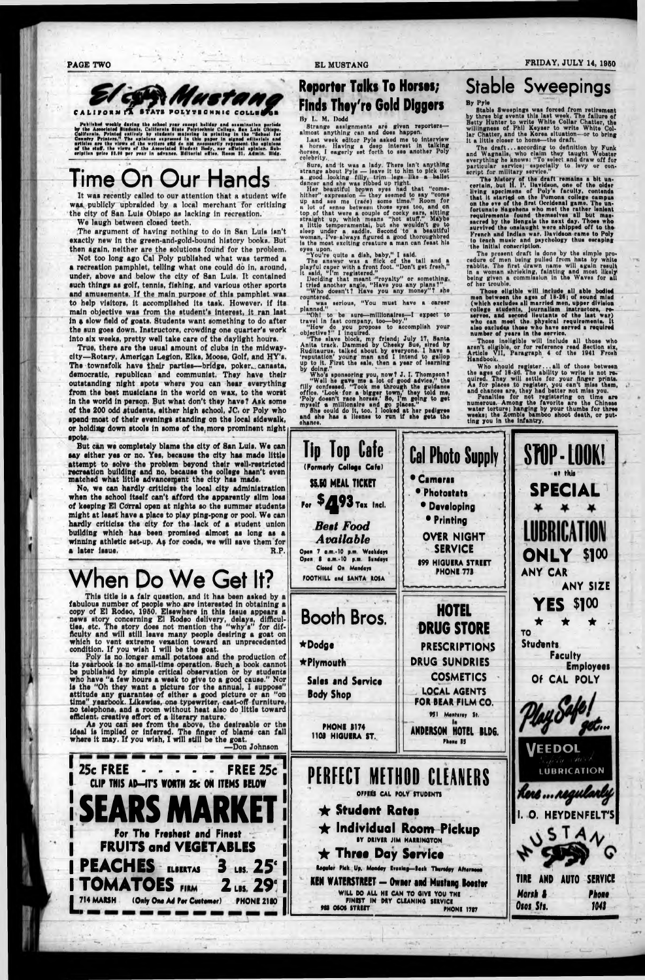**PAGE TWO** 



Published workig during the school year except haliday and examination periods by the Associated Students. California State Polytochnic College, San Luis Obispo, Colifornia. Printed entirely by students majoring in printin

## Time On Our H

It was recently called to our attention that a student wife was publicly upbraided by a local merchant for critizing the city of San Luis Obispo as lacking in recreation.

We laugh between closed teeth.

The argument of having nothing to do in San Luis isn't exactly new in the green-and-gold-bound history books. But then again, neither are the solutions found for the problem.

Not too long ago Cal Poly published what was termed a a recreation pamphlet, telling what one could do in, around, under, above and below the city of San Luis. It contained such things as golf, tennis, fishing, and various other sports and amusements. If the main purpose of this pamphlet was to help visitors, it accomplished its task. However, if its main objective was from the student's interest, it ran last in a slow field of goats. Students want something to do after the sun goes down. Instructors, crowding one quarter's work into six weeks, pretty well take care of the daylight hours.

True, there are the usual amount of clubs in the midwaycity-Rotary, American Legion, Elks, Moose, Golf, and HY's. The townsfolk have their parties-bridge, poker, canasta, democratic, republican and communist. They have their outstanding night spots where you can hear everything from the best musicians in the world on wax, to the worst in the world in person. But what don't they have? Ask some of the 200 odd students, either high school, JC, or Poly who spend most of their evenings standing on the local sidewalk, or holding down stools in some of the more prominent night spots.

But can we completely blame the city of San Luis. We can say either yes or no. Yes, because the city has made little attempt to solve the problem beyond their well-restricted recreation building and no, because the college hasn't even matched what little advancement the city has made.

No, we can hardly criticize the local city administration when the school itself can't afford the apparently slim loss of keeping El Corral open at nights so the summer students might at least have a place to play ping-pong or pool. We can hardly criticize the city for the lack of a student union building which has been promised almost as long as a winning athletic set-up. As for coeds, we will save them for a later issue. R.P.

When Do We Get It?

This title is a fair question, and it has been asked by a fabulous number of people who are interested in obtaining a copy of El Rodeo, 1950. Elsewhere in this issue appears a news story concerning El Rodeo delivery, delays, difficul-<br>ties, etc. The story does not mention the "why's" for difficulty and will still leave many people desiring a goat on ilch to vent extreme vexat hatru

### **Reporter Talks To Horses; Finds They're Gold Diggers** By L. M. Dodd

Strange assignments are given reportersalmost anything can and does happen.

Last week editor Pyle asked me to interview a horse. Having a deep interest in talking colobrity.

colobrity.<br>
Sure, and it was a lady. There isn't anything<br>
strange about Pyle — leave it to him to pick out<br>
a good looking filly, trim legs like a ballet<br>
dancer and she was ribbed up right.<br>
Her beautiful brown eyes had eyes upon.<br>"You're quite a dish, baby," I said.

The answer was a flick of the tail and a<br>playful caper with a front foot. "Don't get fresh,"<br>it said, "I'm registered."

Deciding that meant "royalty" or something.<br>I tried another angle, "Have you any plans?"<br>"Who doesn't? Have you any money"? she countered.

I was serious, "You must have a career planned."

"Oh! to be sure-millionaires-I expect to

"On! to be sure--millionaires-1 expect to<br>travel in fast company, too-boy."<br>"How do you propose to accomplish your<br>objective?" I inquired.<br>"The slave block, my friend; July 17, Santa<br>Anita track. Dammed by Checky Sue, sire

up to it. First the sale, then a year of learning<br>by doing."<br>Who's sponsoring you, now? J. I. Thompson?<br>"Well he gave me a lot of good advice," the<br>filly confessed. "Took me through the guidance<br>office. 'Look for a bigger

## **Stable Sweepings**

#### By Pyle

Stable Sweepings was forced from retirement<br>by three big events this last week. The failure of<br>Betty Hunter to write White Collar Chatter, the<br>willingness of Phil Keyser to write White Col-<br>lar Chatter, and the Korea situa

The draft...according to definition by Funk<br>and Wagnalls, who claim they taught Webster<br>everything he knows: "To select and draw off for<br>particular service; especially to levy or con-<br>acript for military service."

The history of the draft remains a bit uncertain, but H. P. Davidson, one of the older living specimens of Poly's faculty, contends that it started on the Pomona college campus<br>on the eve of the first Occidenal game. The un-<br>fortunate Bagehens who met the rather lenient<br>requirements found themselves all but man-<br>sacred by the Bengals the next day. Thos survived the onslaught were shipped off to the French and Indian war. Davidson came to Poly to teach music and psychology thus escaping the initial conscription.

The present draft is done by the simple procedure of men being pulled from hats by white rabbits. The first drawn name will again result in a woman shrieking, fainting and most likely<br>being given a commission in the Waves for all<br>of her trouble.

Those eligible will include all able bodied<br>men between the ages of 18-26; of sound mind<br>(which excludes all married men, upper division college students, journalism instructors, re-<br>serves, and second lieutants of the last war)<br>who can meet the physical requirements. It<br>also excludes those who have served a required<br>number of years in the service.

Those incligible will include all those who aren't eligible, or for reference read Section six,<br>Article VII, Paragraph 4 of the 1941 Frosh Handbook.

Handbook.<br>
Who should register...all of those between<br>
the ages of 18-26. The ability to write is not re-<br>
quired. They will settle for your finger prints.<br>
As for places to register, you can't miss them,<br>
and chances are,

ting you in the infantry.



condition. If you wish I will be the goat.

Poly is no longer small potatoes and the production of<br>its yearbook is no small-time operation. Such a book cannot<br>be published by simple critical observation or by students who have "a few hours a week to give to a good cause." Nor is the "Oh they want a picture for the annual, I suppose" attitude any guarantee of either a good picture or an "on time" yearbook. Likewise, one typewriter, cast-off furniture.<br>no telephone, and a room without heat also do little toward

efficient. creative effort of a literary nature.<br>As you can see from the above, the desireable or the<br>ideal is implied or inferred. The finger of blame can fall<br>where it may. If you wish, I will still be the goat. -Don Johnson

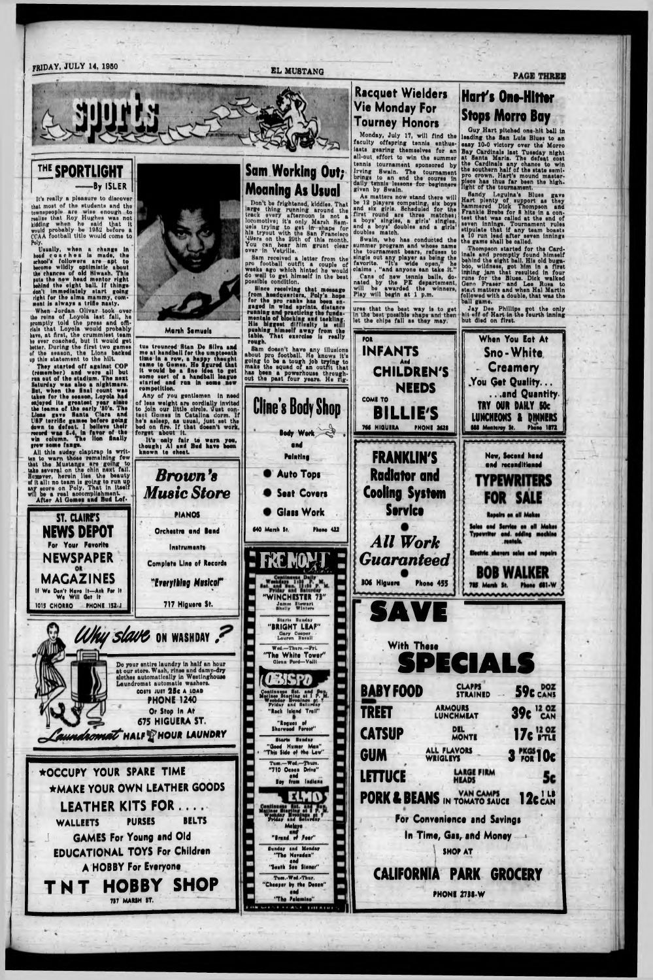#### FRIDAY, JULY 14, 1950 EL MUSTANG



#### **THE SPORTLIGHT** -By ISLER

It's really a pleasure to discover that most of the students and the townspeople are wise enough to realise that Roy Hughes waa not kidding when ho said that it would probably be 1982 before a CCAA football title would come to Poly.

**Usually, whan a change In haid coarhaa la mada, tho ■rhool'a followara ara apt to become wildly optimistic about lha chanraa of old HI wash. Thla puts tho now haad montor right behind tho alght ball. If thlnga don't Immediately atart going right for tha alma mammy, com\* rnant la alwaya a trifle naaty.**

Whan Jordan Ollvar took ovar tha relna of Loyola laat fall, ho promptly told the press and offidala that Loyola would probably have, at flrat, tho orummloat team ha avar coached, but It would gat better. During the first two games of tha aeaaon, tho Llona backed up thla atatement to tha hilt,

All this suday claptrap is writ**ton to warn thoao remaining few** that the Mustangs are going to<br>take several on the chin next fall.<br>Homever, herein lies the beauty of ftialii no team la going to run up any score on Poly. That In Itself will bo a real accomplishment. **After At Gomea and Bud Lof\***

> **st.** *CLAIRE'S* **NEWS DEPOT For Your Favorite** NEWSPAPER

**They atartad off against COP (remember) and ware all but run out of tha atadlum. Tho neat Saturday waa also a nightmare. But, whan tho Anal count was taken for tho aeaaon, Loyola had enjoyed Ita greatest year alneo the taama of tha early 'SO'a. Tha Llona gave Hants Clara and U8F terrific games before going down to defeat. 1 believe thalr record was 8.4, In favor of the win column. The Hon Anally grew some fange.**

**MAGAZINES If We Don't Have It—Auk Per It We Will Oat It 1015 CHORRO PHONI 1S2-J**



**M irth Simueli**

**tua trounced Htan Da Silva and me at handball for tho umpteenth time In a row, a happy thought came to Gomes. Ho figured that It would be a line Idea to get some sort of a handball league atartad and run In some new competition.**

Any of you gentlemen In need of loaa weight are oordlally Invited to join our little eirelo. 'Just contact (iomes in Catalina dorm. If he's asleep, aa usual, Juat set tho bed on Are. If that doesn't work, forget about It.

> **"WINCHESTER 73"** James Stewart<br>Shelly Winters **Biaris Bundar**

**S** 

**It'a only fair to warn you, though) Al and Bud have been known to cheat**

*Brown 'a*

*Music Store*

**PIANOS**

**Orcheitre end Bond**

**Initrument\***

**Complete Line of Records** 

*"Everything Musical"* %

**717 Hlguero St.**

As matters now stand there will be 12 playera competing, six boya and six girls. Scheduled for tno first round are three matches; a boya' singles, a girls' singles, and a boys' doubles and a girls doubles match.

## **Sam Working Out; Moaning As Usual**

Don't be frightened, kiddles. That large thing running around the<br>track every afternoon is not a locomotive) It'e only Marsh Samuela trying to get in- shape for his tryout with tna Ban Franelaco MUera on the 88th of thla month. You can hoar him grunt clear over In Vetyllle.

Bom received a letter from the pro football outfit a couple of weeks ago which hinted he would do well to get himself in the best posaible condition,

**Since receiving that meaaage from headquarters, Poly'a hope for the pro ranks has been engaged In wind sprints, distance running art practicing tha fundamentala of Mocking and tackling.** His biggent difficulty is still **puwhlngr himself away from the** table. That exercise is really **rough.**

Shm doesn't have any illuaioni about pro football. Ha knows It'a going to ba a tough job trying to make the squad of an outfit that haa been a powarhouaa throughout the past four years. He rig-

> •nd **Pointing**

**Auto Topi**

**Seat Covers** 

**Glass Work** 

&



Melave

eed

### Racquet Wielders Vie Monday For Tourney Honors

Monday, July 17, will find tha faculty offspring tennla enthuaiasts gearing themselves for an all-out effort to win the summer tennla tournament aponaorad by Irving Bwaln. The tournament or ng» to an end tha course In dally tennla lessons for beginners given by Swain.

Swain, who haa conducted tha ■ummar program and whose name the tournament bears, refuses to single out any player aa being the favorite. "It's wide open, he claim\* , "and anyone aan take It." Cans of new tennis balls, donated by tho PE departemont, will be awarded the winners, Play will begin at 1 p.m.

urea that tha beat way la to get In the boat possible shape and then lot the chips fall aa they may.

### **Hart's One-Hittor Stops Morro Bay**

Guy Hart pitched one-hit ball in leading the San Luis Blues to an easy 10-0 victory over the Morro eaay 10-0 victory ovar the Morro Bay Ckrdlnala laat Tuesday night at Santa Maria. The defeat coat the Cardinals any chance to win tho aouthorn half of tha state semipro crown. Hart's mound masterpiece haa thus far been tha high, light of tha tournament.

Sandy Legulna'a Blues gave Hart plenty of support aa they hammered Dlok Thompson ana Frankie Breba for 8 hits In a contest that waa called at the end of seven Innings. Tournament rules stipulate that if any team boasts a 10 run lead after seven innings tha game shall ba oalled.

Thompson started for the Card-inals and promptly found hlmsalf behind the eight ball. Hia old bugaboo, wlldneaa, got him In a flrat taping jam that resulted In four runs for the Blues. Dick walked Gann Fraser ond Lee Roam to start matters and when Hal Martin followed with a double, that waa the ball game.

Jay Dee Phillips got the only hit off of Hart in the fourth Inning but died on flrat.